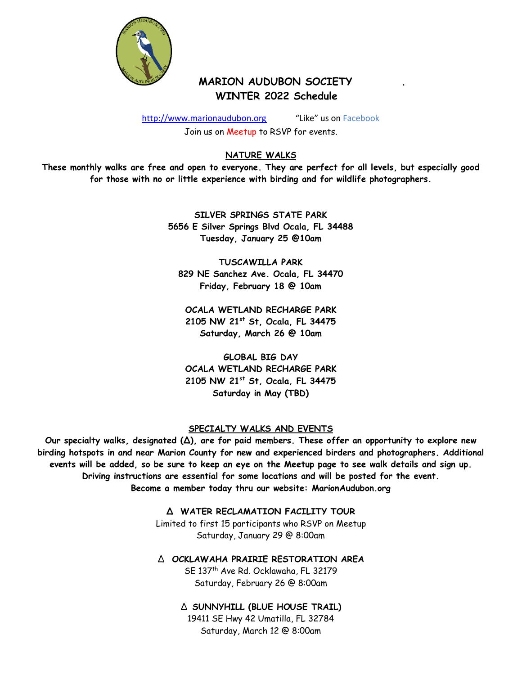

# **MARION AUDUBON SOCIETY WINTER 2022 Schedule**

[http://www.marionaudubon.org](http://www.marionaudubon.org/) "Like" us on Facebook

Join us on Meetup to RSVP for events.

# **NATURE WALKS**

**These monthly walks are free and open to everyone. They are perfect for all levels, but especially good for those with no or little experience with birding and for wildlife photographers.**

> **SILVER SPRINGS STATE PARK 5656 E Silver Springs Blvd Ocala, FL 34488 Tuesday, January 25 @10am**

**TUSCAWILLA PARK 829 NE Sanchez Ave. Ocala, FL 34470 Friday, February 18 @ 10am**

**OCALA WETLAND RECHARGE PARK 2105 NW 21st St, Ocala, FL 34475 Saturday, March 26 @ 10am**

**GLOBAL BIG DAY OCALA WETLAND RECHARGE PARK 2105 NW 21st St, Ocala, FL 34475 Saturday in May (TBD)** 

## **SPECIALTY WALKS AND EVENTS**

**Our specialty walks, designated (∆), are for paid members. These offer an opportunity to explore new birding hotspots in and near Marion County for new and experienced birders and photographers. Additional events will be added, so be sure to keep an eye on the Meetup page to see walk details and sign up. Driving instructions are essential for some locations and will be posted for the event. Become a member today thru our website: MarionAudubon.org**

> **∆ WATER RECLAMATION FACILITY TOUR** Limited to first 15 participants who RSVP on Meetup

Saturday, January 29 @ 8:00am

∆ **OCKLAWAHA PRAIRIE RESTORATION AREA**

SE 137<sup>th</sup> Ave Rd. Ocklawaha, FL 32179 Saturday, February 26 @ 8:00am

∆ **SUNNYHILL (BLUE HOUSE TRAIL)** 19411 SE Hwy 42 Umatilla, FL 32784 Saturday, March 12 @ 8:00am